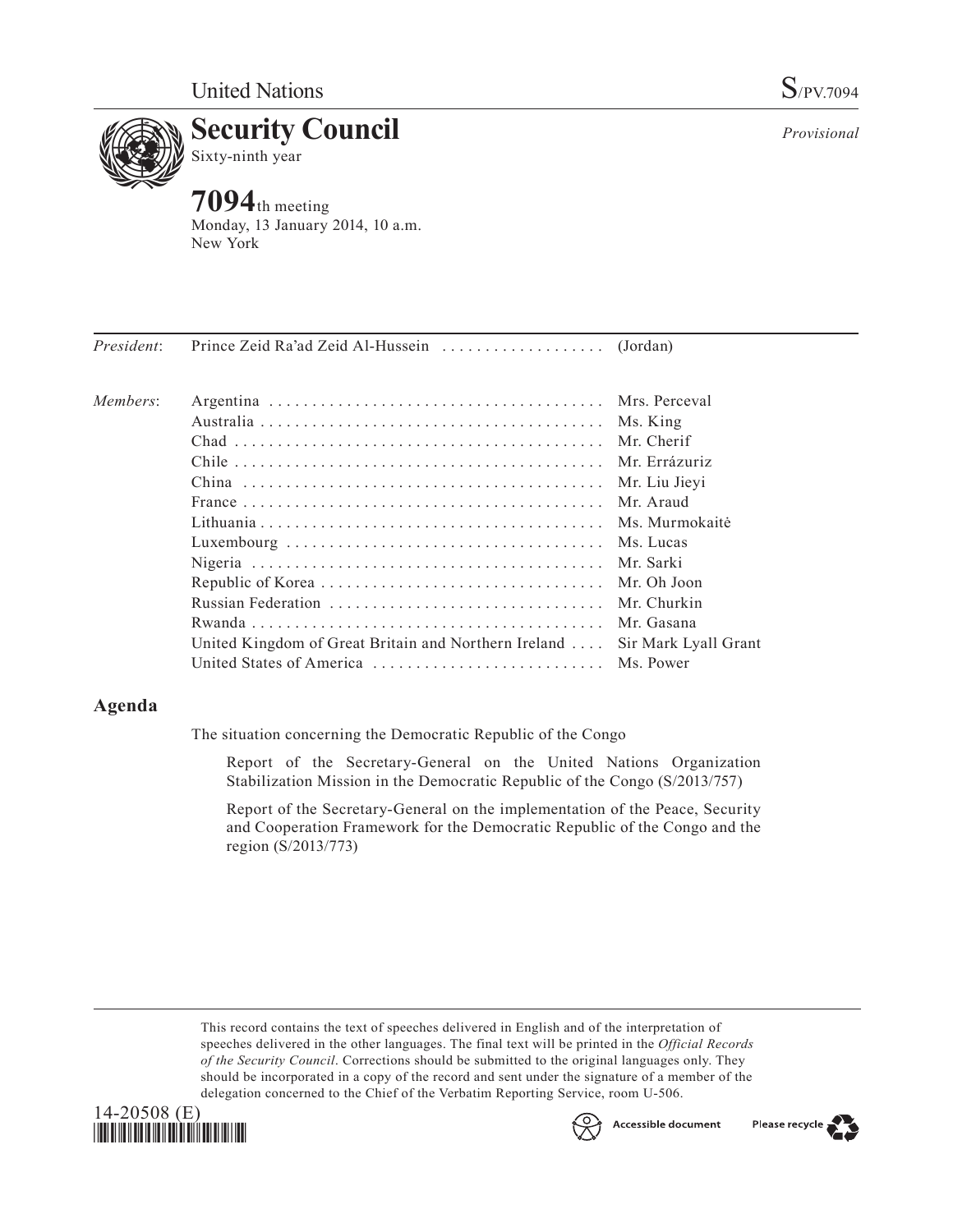

*Provisional*

# **Security Council**

Sixty-ninth year

## **7094**th meeting

Monday, 13 January 2014, 10 a.m. New York

| Members: |                                                                            |               |
|----------|----------------------------------------------------------------------------|---------------|
|          |                                                                            |               |
|          |                                                                            |               |
|          |                                                                            |               |
|          |                                                                            | Mr. Liu Jievi |
|          |                                                                            |               |
|          |                                                                            |               |
|          |                                                                            |               |
|          |                                                                            |               |
|          |                                                                            |               |
|          |                                                                            |               |
|          |                                                                            |               |
|          | United Kingdom of Great Britain and Northern Ireland  Sir Mark Lyall Grant |               |
|          | United States of America  Ms. Power                                        |               |
|          |                                                                            |               |

### **Agenda**

The situation concerning the Democratic Republic of the Congo

Report of the Secretary-General on the United Nations Organization Stabilization Mission in the Democratic Republic of the Congo (S/2013/757)

Report of the Secretary-General on the implementation of the Peace, Security and Cooperation Framework for the Democratic Republic of the Congo and the region (S/2013/773)

This record contains the text of speeches delivered in English and of the interpretation of speeches delivered in the other languages. The final text will be printed in the *Official Records of the Security Council*. Corrections should be submitted to the original languages only. They should be incorporated in a copy of the record and sent under the signature of a member of the delegation concerned to the Chief of the Verbatim Reporting Service, room U-506.





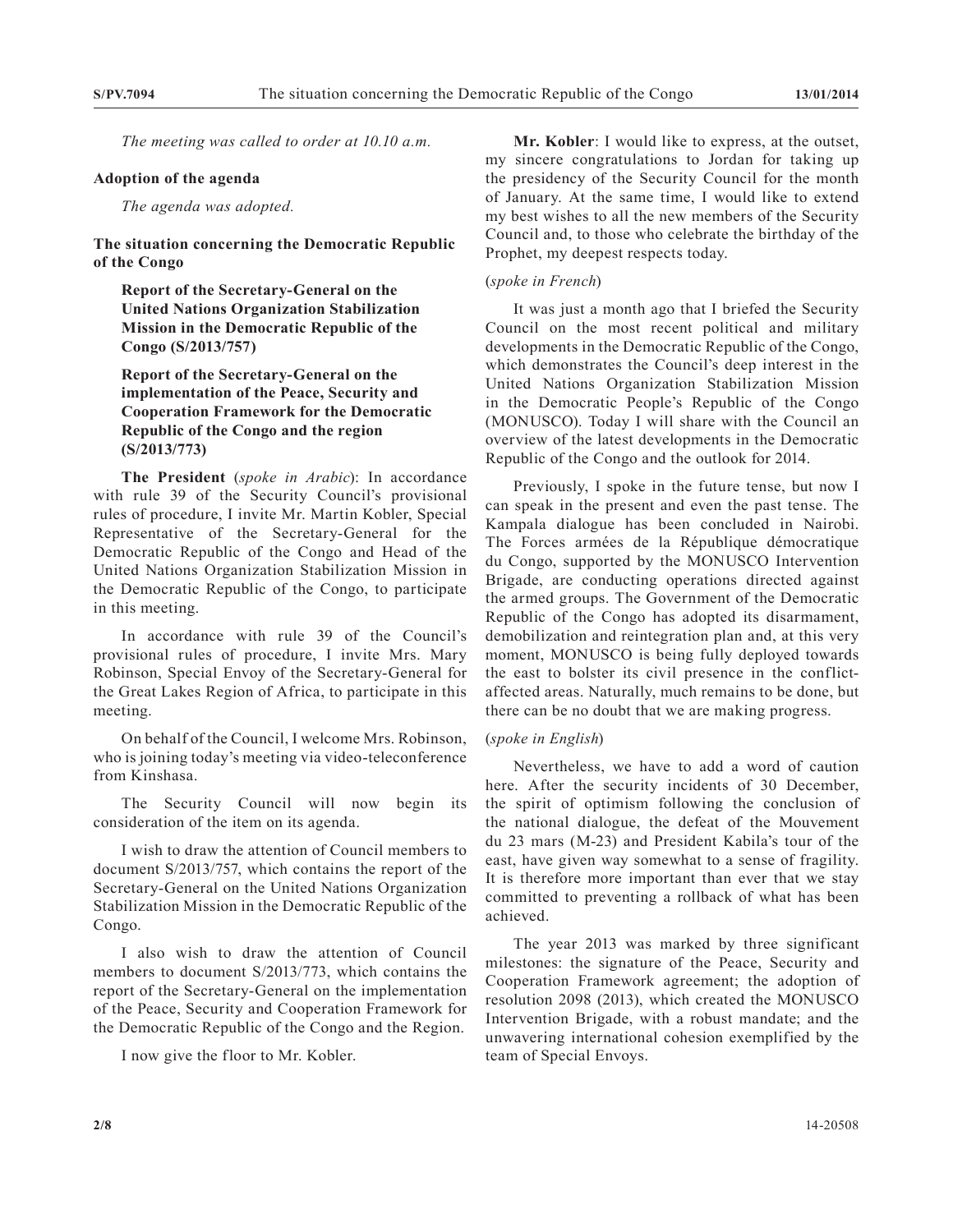*The meeting was called to order at 10.10 a.m.*

#### **Adoption of the agenda**

*The agenda was adopted.*

#### **The situation concerning the Democratic Republic of the Congo**

**Report of the Secretary-General on the United Nations Organization Stabilization Mission in the Democratic Republic of the Congo (S/2013/757)**

**Report of the Secretary-General on the implementation of the Peace, Security and Cooperation Framework for the Democratic Republic of the Congo and the region (S/2013/773)**

**The President** (*spoke in Arabic*): In accordance with rule 39 of the Security Council's provisional rules of procedure, I invite Mr. Martin Kobler, Special Representative of the Secretary-General for the Democratic Republic of the Congo and Head of the United Nations Organization Stabilization Mission in the Democratic Republic of the Congo, to participate in this meeting.

In accordance with rule 39 of the Council's provisional rules of procedure, I invite Mrs. Mary Robinson, Special Envoy of the Secretary-General for the Great Lakes Region of Africa, to participate in this meeting.

On behalf of the Council, I welcome Mrs. Robinson, who is joining today's meeting via video-teleconference from Kinshasa.

The Security Council will now begin its consideration of the item on its agenda.

I wish to draw the attention of Council members to document S/2013/757, which contains the report of the Secretary-General on the United Nations Organization Stabilization Mission in the Democratic Republic of the Congo.

I also wish to draw the attention of Council members to document S/2013/773, which contains the report of the Secretary-General on the implementation of the Peace, Security and Cooperation Framework for the Democratic Republic of the Congo and the Region.

I now give the floor to Mr. Kobler.

**Mr. Kobler**: I would like to express, at the outset, my sincere congratulations to Jordan for taking up the presidency of the Security Council for the month of January. At the same time, I would like to extend my best wishes to all the new members of the Security Council and, to those who celebrate the birthday of the Prophet, my deepest respects today.

#### (*spoke in French*)

It was just a month ago that I briefed the Security Council on the most recent political and military developments in the Democratic Republic of the Congo, which demonstrates the Council's deep interest in the United Nations Organization Stabilization Mission in the Democratic People's Republic of the Congo (MONUSCO). Today I will share with the Council an overview of the latest developments in the Democratic Republic of the Congo and the outlook for 2014.

Previously, I spoke in the future tense, but now I can speak in the present and even the past tense. The Kampala dialogue has been concluded in Nairobi. The Forces armées de la République démocratique du Congo, supported by the MONUSCO Intervention Brigade, are conducting operations directed against the armed groups. The Government of the Democratic Republic of the Congo has adopted its disarmament, demobilization and reintegration plan and, at this very moment, MONUSCO is being fully deployed towards the east to bolster its civil presence in the conflictaffected areas. Naturally, much remains to be done, but there can be no doubt that we are making progress.

#### (*spoke in English*)

Nevertheless, we have to add a word of caution here. After the security incidents of 30 December, the spirit of optimism following the conclusion of the national dialogue, the defeat of the Mouvement du 23 mars (M-23) and President Kabila's tour of the east, have given way somewhat to a sense of fragility. It is therefore more important than ever that we stay committed to preventing a rollback of what has been achieved.

The year 2013 was marked by three significant milestones: the signature of the Peace, Security and Cooperation Framework agreement; the adoption of resolution 2098 (2013), which created the MONUSCO Intervention Brigade, with a robust mandate; and the unwavering international cohesion exemplified by the team of Special Envoys.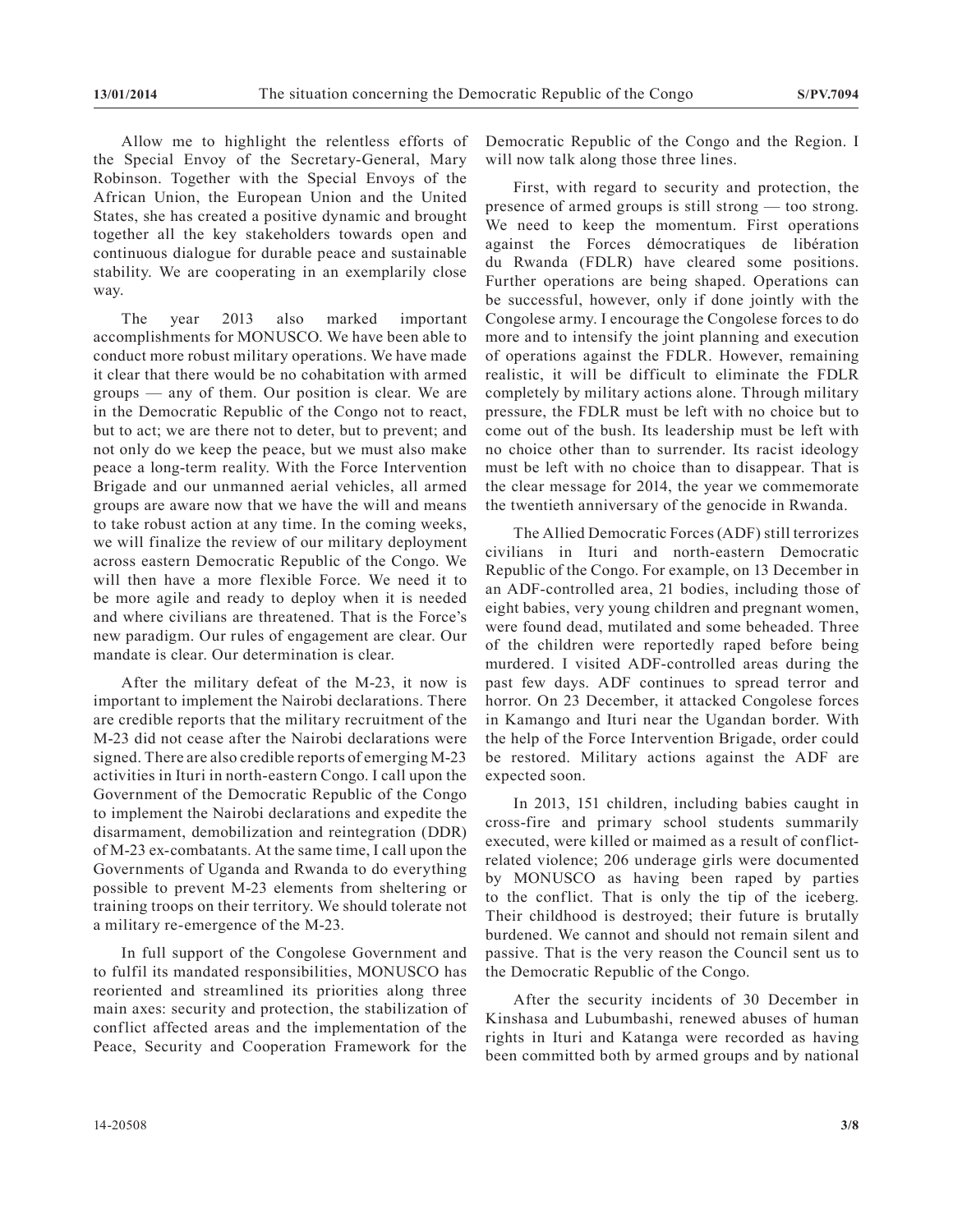Allow me to highlight the relentless efforts of the Special Envoy of the Secretary-General, Mary Robinson. Together with the Special Envoys of the African Union, the European Union and the United States, she has created a positive dynamic and brought together all the key stakeholders towards open and continuous dialogue for durable peace and sustainable stability. We are cooperating in an exemplarily close way.

The year 2013 also marked important accomplishments for MONUSCO. We have been able to conduct more robust military operations. We have made it clear that there would be no cohabitation with armed groups — any of them. Our position is clear. We are in the Democratic Republic of the Congo not to react, but to act; we are there not to deter, but to prevent; and not only do we keep the peace, but we must also make peace a long-term reality. With the Force Intervention Brigade and our unmanned aerial vehicles, all armed groups are aware now that we have the will and means to take robust action at any time. In the coming weeks, we will finalize the review of our military deployment across eastern Democratic Republic of the Congo. We will then have a more flexible Force. We need it to be more agile and ready to deploy when it is needed and where civilians are threatened. That is the Force's new paradigm. Our rules of engagement are clear. Our mandate is clear. Our determination is clear.

After the military defeat of the M-23, it now is important to implement the Nairobi declarations. There are credible reports that the military recruitment of the M-23 did not cease after the Nairobi declarations were signed. There are also credible reports of emerging M-23 activities in Ituri in north-eastern Congo. I call upon the Government of the Democratic Republic of the Congo to implement the Nairobi declarations and expedite the disarmament, demobilization and reintegration (DDR) of M-23 ex-combatants. At the same time, I call upon the Governments of Uganda and Rwanda to do everything possible to prevent M-23 elements from sheltering or training troops on their territory. We should tolerate not a military re-emergence of the M-23.

In full support of the Congolese Government and to fulfil its mandated responsibilities, MONUSCO has reoriented and streamlined its priorities along three main axes: security and protection, the stabilization of conflict affected areas and the implementation of the Peace, Security and Cooperation Framework for the

Democratic Republic of the Congo and the Region. I will now talk along those three lines.

First, with regard to security and protection, the presence of armed groups is still strong — too strong. We need to keep the momentum. First operations against the Forces démocratiques de libération du Rwanda (FDLR) have cleared some positions. Further operations are being shaped. Operations can be successful, however, only if done jointly with the Congolese army. I encourage the Congolese forces to do more and to intensify the joint planning and execution of operations against the FDLR. However, remaining realistic, it will be difficult to eliminate the FDLR completely by military actions alone. Through military pressure, the FDLR must be left with no choice but to come out of the bush. Its leadership must be left with no choice other than to surrender. Its racist ideology must be left with no choice than to disappear. That is the clear message for 2014, the year we commemorate the twentieth anniversary of the genocide in Rwanda.

The Allied Democratic Forces (ADF) still terrorizes civilians in Ituri and north-eastern Democratic Republic of the Congo. For example, on 13 December in an ADF-controlled area, 21 bodies, including those of eight babies, very young children and pregnant women, were found dead, mutilated and some beheaded. Three of the children were reportedly raped before being murdered. I visited ADF-controlled areas during the past few days. ADF continues to spread terror and horror. On 23 December, it attacked Congolese forces in Kamango and Ituri near the Ugandan border. With the help of the Force Intervention Brigade, order could be restored. Military actions against the ADF are expected soon.

In 2013, 151 children, including babies caught in cross-fire and primary school students summarily executed, were killed or maimed as a result of conflictrelated violence; 206 underage girls were documented by MONUSCO as having been raped by parties to the conflict. That is only the tip of the iceberg. Their childhood is destroyed; their future is brutally burdened. We cannot and should not remain silent and passive. That is the very reason the Council sent us to the Democratic Republic of the Congo.

After the security incidents of 30 December in Kinshasa and Lubumbashi, renewed abuses of human rights in Ituri and Katanga were recorded as having been committed both by armed groups and by national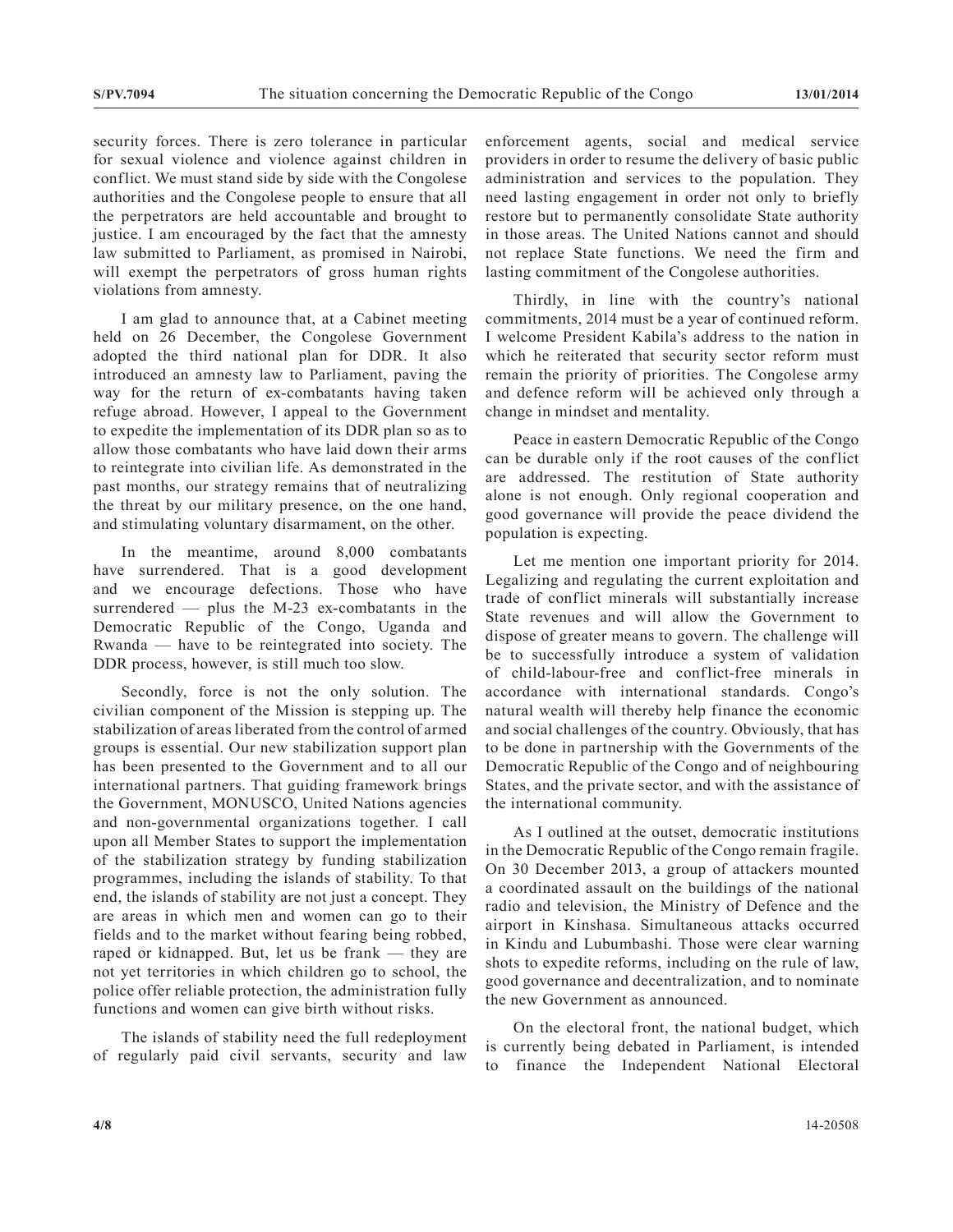security forces. There is zero tolerance in particular for sexual violence and violence against children in conflict. We must stand side by side with the Congolese authorities and the Congolese people to ensure that all the perpetrators are held accountable and brought to justice. I am encouraged by the fact that the amnesty law submitted to Parliament, as promised in Nairobi, will exempt the perpetrators of gross human rights violations from amnesty.

I am glad to announce that, at a Cabinet meeting held on 26 December, the Congolese Government adopted the third national plan for DDR. It also introduced an amnesty law to Parliament, paving the way for the return of ex-combatants having taken refuge abroad. However, I appeal to the Government to expedite the implementation of its DDR plan so as to allow those combatants who have laid down their arms to reintegrate into civilian life. As demonstrated in the past months, our strategy remains that of neutralizing the threat by our military presence, on the one hand, and stimulating voluntary disarmament, on the other.

In the meantime, around 8,000 combatants have surrendered. That is a good development and we encourage defections. Those who have surrendered — plus the M-23 ex-combatants in the Democratic Republic of the Congo, Uganda and Rwanda — have to be reintegrated into society. The DDR process, however, is still much too slow.

Secondly, force is not the only solution. The civilian component of the Mission is stepping up. The stabilization of areas liberated from the control of armed groups is essential. Our new stabilization support plan has been presented to the Government and to all our international partners. That guiding framework brings the Government, MONUSCO, United Nations agencies and non-governmental organizations together. I call upon all Member States to support the implementation of the stabilization strategy by funding stabilization programmes, including the islands of stability. To that end, the islands of stability are not just a concept. They are areas in which men and women can go to their fields and to the market without fearing being robbed, raped or kidnapped. But, let us be frank — they are not yet territories in which children go to school, the police offer reliable protection, the administration fully functions and women can give birth without risks.

The islands of stability need the full redeployment of regularly paid civil servants, security and law enforcement agents, social and medical service providers in order to resume the delivery of basic public administration and services to the population. They need lasting engagement in order not only to briefly restore but to permanently consolidate State authority in those areas. The United Nations cannot and should not replace State functions. We need the firm and lasting commitment of the Congolese authorities.

Thirdly, in line with the country's national commitments, 2014 must be a year of continued reform. I welcome President Kabila's address to the nation in which he reiterated that security sector reform must remain the priority of priorities. The Congolese army and defence reform will be achieved only through a change in mindset and mentality.

Peace in eastern Democratic Republic of the Congo can be durable only if the root causes of the conflict are addressed. The restitution of State authority alone is not enough. Only regional cooperation and good governance will provide the peace dividend the population is expecting.

Let me mention one important priority for 2014. Legalizing and regulating the current exploitation and trade of conflict minerals will substantially increase State revenues and will allow the Government to dispose of greater means to govern. The challenge will be to successfully introduce a system of validation of child-labour-free and conflict-free minerals in accordance with international standards. Congo's natural wealth will thereby help finance the economic and social challenges of the country. Obviously, that has to be done in partnership with the Governments of the Democratic Republic of the Congo and of neighbouring States, and the private sector, and with the assistance of the international community.

As I outlined at the outset, democratic institutions in the Democratic Republic of the Congo remain fragile. On 30 December 2013, a group of attackers mounted a coordinated assault on the buildings of the national radio and television, the Ministry of Defence and the airport in Kinshasa. Simultaneous attacks occurred in Kindu and Lubumbashi. Those were clear warning shots to expedite reforms, including on the rule of law, good governance and decentralization, and to nominate the new Government as announced.

On the electoral front, the national budget, which is currently being debated in Parliament, is intended to finance the Independent National Electoral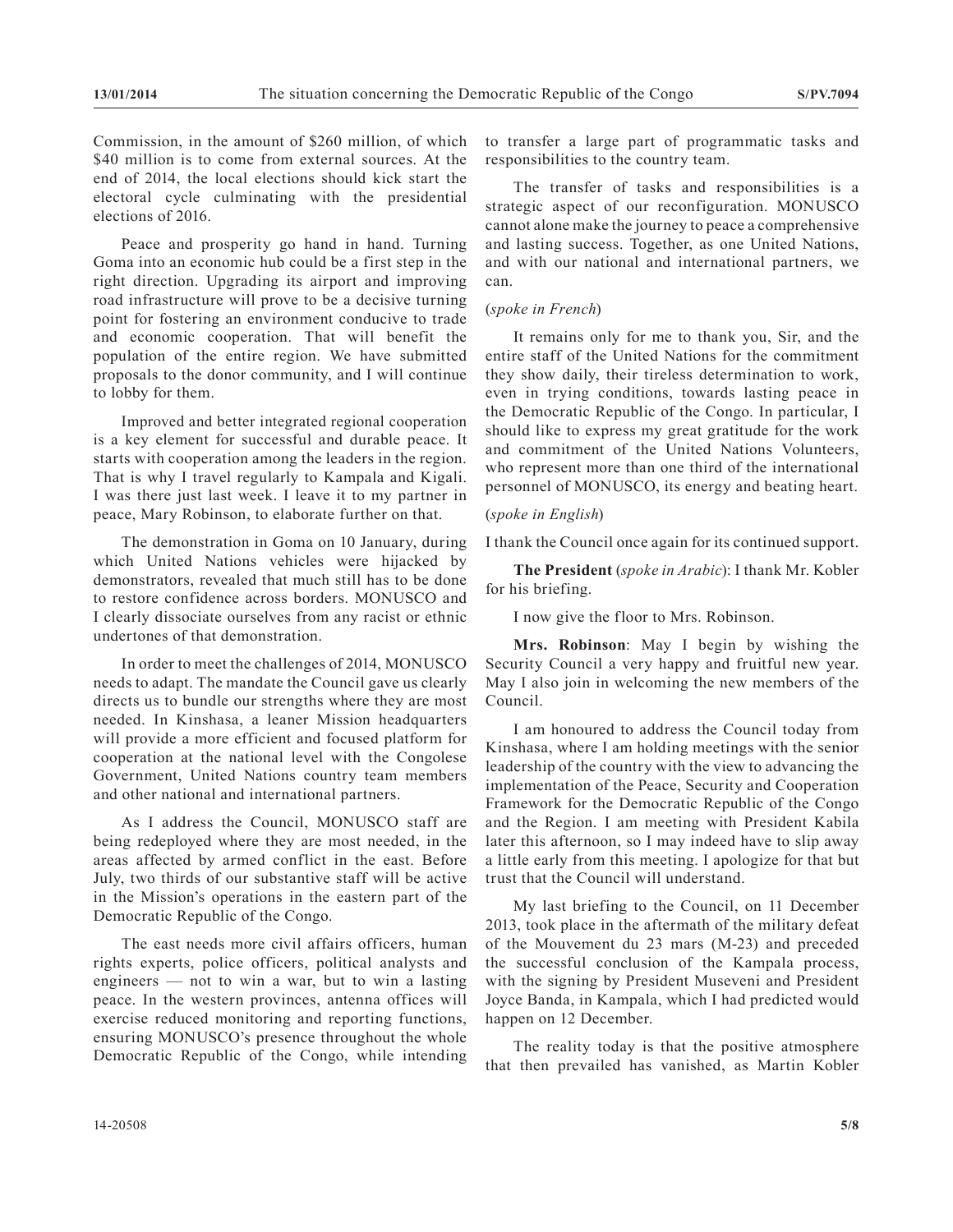Commission, in the amount of \$260 million, of which \$40 million is to come from external sources. At the end of 2014, the local elections should kick start the electoral cycle culminating with the presidential elections of 2016.

Peace and prosperity go hand in hand. Turning Goma into an economic hub could be a first step in the right direction. Upgrading its airport and improving road infrastructure will prove to be a decisive turning point for fostering an environment conducive to trade and economic cooperation. That will benefit the population of the entire region. We have submitted proposals to the donor community, and I will continue to lobby for them.

Improved and better integrated regional cooperation is a key element for successful and durable peace. It starts with cooperation among the leaders in the region. That is why I travel regularly to Kampala and Kigali. I was there just last week. I leave it to my partner in peace, Mary Robinson, to elaborate further on that.

The demonstration in Goma on 10 January, during which United Nations vehicles were hijacked by demonstrators, revealed that much still has to be done to restore confidence across borders. MONUSCO and I clearly dissociate ourselves from any racist or ethnic undertones of that demonstration.

In order to meet the challenges of 2014, MONUSCO needs to adapt. The mandate the Council gave us clearly directs us to bundle our strengths where they are most needed. In Kinshasa, a leaner Mission headquarters will provide a more efficient and focused platform for cooperation at the national level with the Congolese Government, United Nations country team members and other national and international partners.

As I address the Council, MONUSCO staff are being redeployed where they are most needed, in the areas affected by armed conflict in the east. Before July, two thirds of our substantive staff will be active in the Mission's operations in the eastern part of the Democratic Republic of the Congo.

The east needs more civil affairs officers, human rights experts, police officers, political analysts and engineers — not to win a war, but to win a lasting peace. In the western provinces, antenna offices will exercise reduced monitoring and reporting functions, ensuring MONUSCO's presence throughout the whole Democratic Republic of the Congo, while intending

to transfer a large part of programmatic tasks and responsibilities to the country team.

The transfer of tasks and responsibilities is a strategic aspect of our reconfiguration. MONUSCO cannot alone make the journey to peace a comprehensive and lasting success. Together, as one United Nations, and with our national and international partners, we can.

#### (*spoke in French*)

It remains only for me to thank you, Sir, and the entire staff of the United Nations for the commitment they show daily, their tireless determination to work, even in trying conditions, towards lasting peace in the Democratic Republic of the Congo. In particular, I should like to express my great gratitude for the work and commitment of the United Nations Volunteers, who represent more than one third of the international personnel of MONUSCO, its energy and beating heart.

#### (*spoke in English*)

I thank the Council once again for its continued support.

**The President** (*spoke in Arabic*): I thank Mr. Kobler for his briefing.

I now give the floor to Mrs. Robinson.

**Mrs. Robinson**: May I begin by wishing the Security Council a very happy and fruitful new year. May I also join in welcoming the new members of the Council.

I am honoured to address the Council today from Kinshasa, where I am holding meetings with the senior leadership of the country with the view to advancing the implementation of the Peace, Security and Cooperation Framework for the Democratic Republic of the Congo and the Region. I am meeting with President Kabila later this afternoon, so I may indeed have to slip away a little early from this meeting. I apologize for that but trust that the Council will understand.

My last briefing to the Council, on 11 December 2013, took place in the aftermath of the military defeat of the Mouvement du 23 mars (M-23) and preceded the successful conclusion of the Kampala process, with the signing by President Museveni and President Joyce Banda, in Kampala, which I had predicted would happen on 12 December.

The reality today is that the positive atmosphere that then prevailed has vanished, as Martin Kobler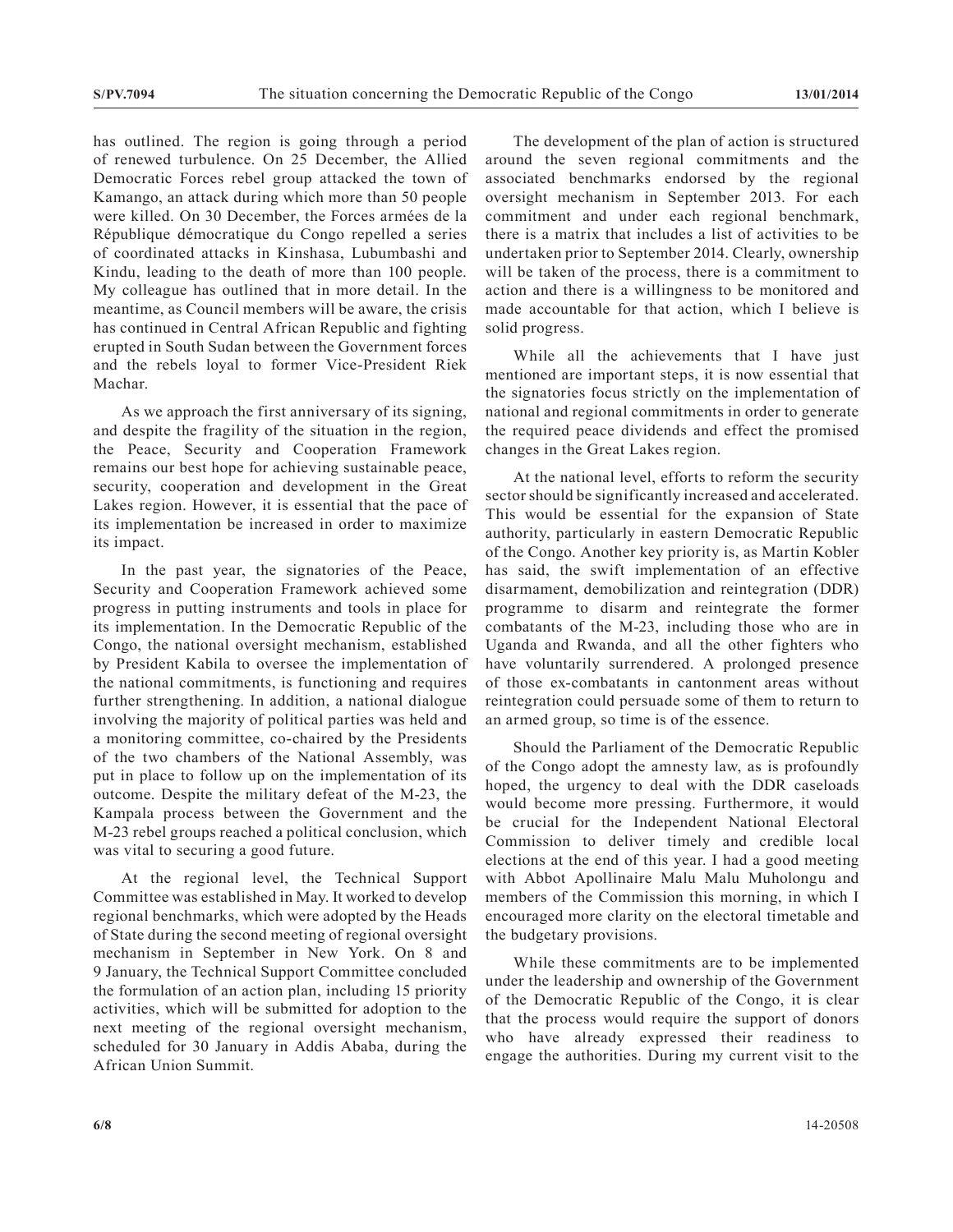has outlined. The region is going through a period of renewed turbulence. On 25 December, the Allied Democratic Forces rebel group attacked the town of Kamango, an attack during which more than 50 people were killed. On 30 December, the Forces armées de la République démocratique du Congo repelled a series of coordinated attacks in Kinshasa, Lubumbashi and Kindu, leading to the death of more than 100 people. My colleague has outlined that in more detail. In the meantime, as Council members will be aware, the crisis has continued in Central African Republic and fighting erupted in South Sudan between the Government forces and the rebels loyal to former Vice-President Riek Machar.

As we approach the first anniversary of its signing, and despite the fragility of the situation in the region, the Peace, Security and Cooperation Framework remains our best hope for achieving sustainable peace, security, cooperation and development in the Great Lakes region. However, it is essential that the pace of its implementation be increased in order to maximize its impact.

In the past year, the signatories of the Peace, Security and Cooperation Framework achieved some progress in putting instruments and tools in place for its implementation. In the Democratic Republic of the Congo, the national oversight mechanism, established by President Kabila to oversee the implementation of the national commitments, is functioning and requires further strengthening. In addition, a national dialogue involving the majority of political parties was held and a monitoring committee, co-chaired by the Presidents of the two chambers of the National Assembly, was put in place to follow up on the implementation of its outcome. Despite the military defeat of the M-23, the Kampala process between the Government and the M-23 rebel groups reached a political conclusion, which was vital to securing a good future.

At the regional level, the Technical Support Committee was established in May. It worked to develop regional benchmarks, which were adopted by the Heads of State during the second meeting of regional oversight mechanism in September in New York. On 8 and 9 January, the Technical Support Committee concluded the formulation of an action plan, including 15 priority activities, which will be submitted for adoption to the next meeting of the regional oversight mechanism, scheduled for 30 January in Addis Ababa, during the African Union Summit.

The development of the plan of action is structured around the seven regional commitments and the associated benchmarks endorsed by the regional oversight mechanism in September 2013. For each commitment and under each regional benchmark, there is a matrix that includes a list of activities to be undertaken prior to September 2014. Clearly, ownership will be taken of the process, there is a commitment to action and there is a willingness to be monitored and made accountable for that action, which I believe is solid progress.

While all the achievements that I have just mentioned are important steps, it is now essential that the signatories focus strictly on the implementation of national and regional commitments in order to generate the required peace dividends and effect the promised changes in the Great Lakes region.

At the national level, efforts to reform the security sector should be significantly increased and accelerated. This would be essential for the expansion of State authority, particularly in eastern Democratic Republic of the Congo. Another key priority is, as Martin Kobler has said, the swift implementation of an effective disarmament, demobilization and reintegration (DDR) programme to disarm and reintegrate the former combatants of the M-23, including those who are in Uganda and Rwanda, and all the other fighters who have voluntarily surrendered. A prolonged presence of those ex-combatants in cantonment areas without reintegration could persuade some of them to return to an armed group, so time is of the essence.

Should the Parliament of the Democratic Republic of the Congo adopt the amnesty law, as is profoundly hoped, the urgency to deal with the DDR caseloads would become more pressing. Furthermore, it would be crucial for the Independent National Electoral Commission to deliver timely and credible local elections at the end of this year. I had a good meeting with Abbot Apollinaire Malu Malu Muholongu and members of the Commission this morning, in which I encouraged more clarity on the electoral timetable and the budgetary provisions.

While these commitments are to be implemented under the leadership and ownership of the Government of the Democratic Republic of the Congo, it is clear that the process would require the support of donors who have already expressed their readiness to engage the authorities. During my current visit to the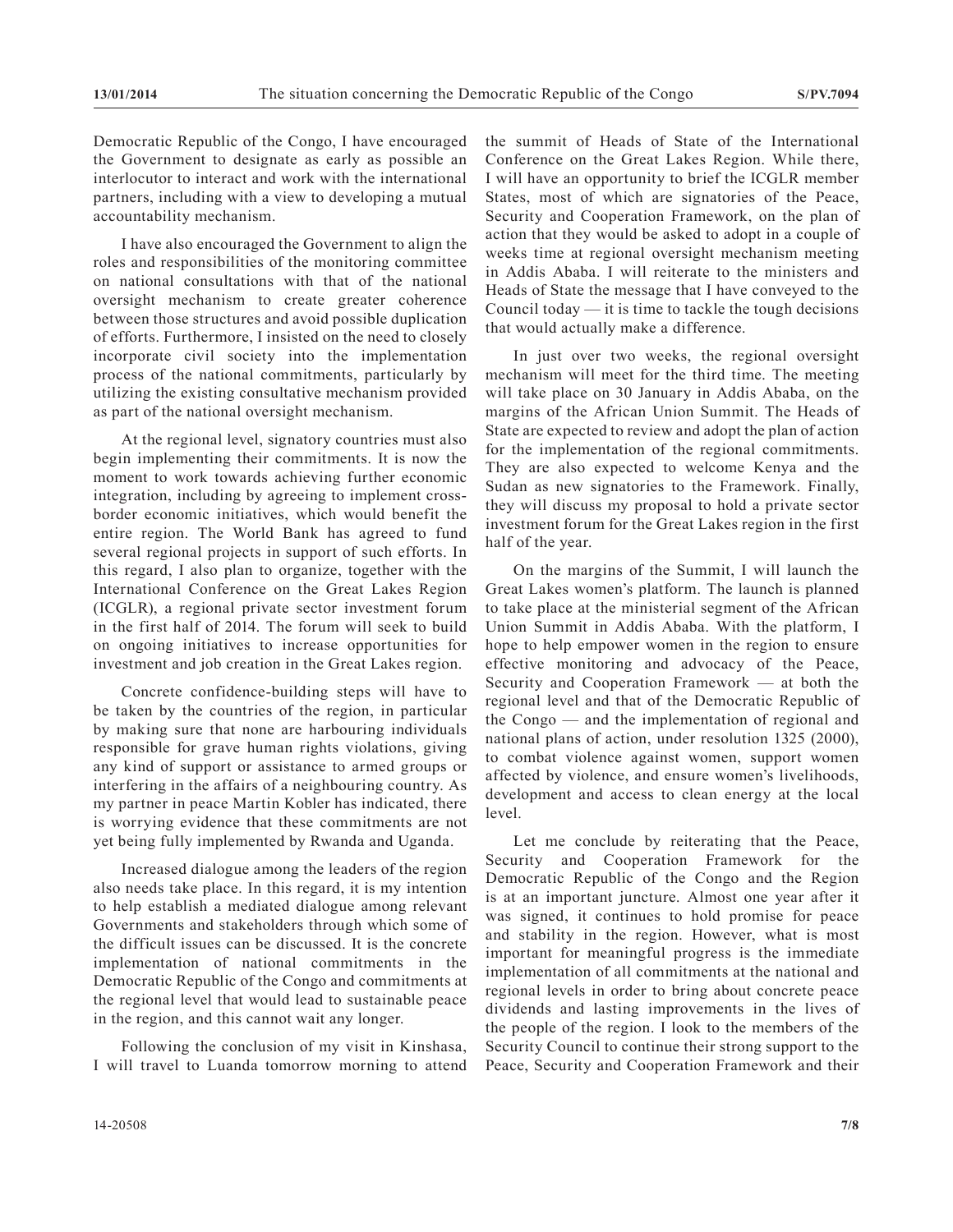Democratic Republic of the Congo, I have encouraged the Government to designate as early as possible an interlocutor to interact and work with the international partners, including with a view to developing a mutual accountability mechanism.

I have also encouraged the Government to align the roles and responsibilities of the monitoring committee on national consultations with that of the national oversight mechanism to create greater coherence between those structures and avoid possible duplication of efforts. Furthermore, I insisted on the need to closely incorporate civil society into the implementation process of the national commitments, particularly by utilizing the existing consultative mechanism provided as part of the national oversight mechanism.

At the regional level, signatory countries must also begin implementing their commitments. It is now the moment to work towards achieving further economic integration, including by agreeing to implement crossborder economic initiatives, which would benefit the entire region. The World Bank has agreed to fund several regional projects in support of such efforts. In this regard, I also plan to organize, together with the International Conference on the Great Lakes Region (ICGLR), a regional private sector investment forum in the first half of 2014. The forum will seek to build on ongoing initiatives to increase opportunities for investment and job creation in the Great Lakes region.

Concrete confidence-building steps will have to be taken by the countries of the region, in particular by making sure that none are harbouring individuals responsible for grave human rights violations, giving any kind of support or assistance to armed groups or interfering in the affairs of a neighbouring country. As my partner in peace Martin Kobler has indicated, there is worrying evidence that these commitments are not yet being fully implemented by Rwanda and Uganda.

Increased dialogue among the leaders of the region also needs take place. In this regard, it is my intention to help establish a mediated dialogue among relevant Governments and stakeholders through which some of the difficult issues can be discussed. It is the concrete implementation of national commitments in the Democratic Republic of the Congo and commitments at the regional level that would lead to sustainable peace in the region, and this cannot wait any longer.

Following the conclusion of my visit in Kinshasa, I will travel to Luanda tomorrow morning to attend the summit of Heads of State of the International Conference on the Great Lakes Region. While there, I will have an opportunity to brief the ICGLR member States, most of which are signatories of the Peace, Security and Cooperation Framework, on the plan of action that they would be asked to adopt in a couple of weeks time at regional oversight mechanism meeting in Addis Ababa. I will reiterate to the ministers and Heads of State the message that I have conveyed to the Council today — it is time to tackle the tough decisions that would actually make a difference.

In just over two weeks, the regional oversight mechanism will meet for the third time. The meeting will take place on 30 January in Addis Ababa, on the margins of the African Union Summit. The Heads of State are expected to review and adopt the plan of action for the implementation of the regional commitments. They are also expected to welcome Kenya and the Sudan as new signatories to the Framework. Finally, they will discuss my proposal to hold a private sector investment forum for the Great Lakes region in the first half of the year.

On the margins of the Summit, I will launch the Great Lakes women's platform. The launch is planned to take place at the ministerial segment of the African Union Summit in Addis Ababa. With the platform, I hope to help empower women in the region to ensure effective monitoring and advocacy of the Peace, Security and Cooperation Framework — at both the regional level and that of the Democratic Republic of the Congo — and the implementation of regional and national plans of action, under resolution 1325 (2000), to combat violence against women, support women affected by violence, and ensure women's livelihoods, development and access to clean energy at the local level.

Let me conclude by reiterating that the Peace, Security and Cooperation Framework for the Democratic Republic of the Congo and the Region is at an important juncture. Almost one year after it was signed, it continues to hold promise for peace and stability in the region. However, what is most important for meaningful progress is the immediate implementation of all commitments at the national and regional levels in order to bring about concrete peace dividends and lasting improvements in the lives of the people of the region. I look to the members of the Security Council to continue their strong support to the Peace, Security and Cooperation Framework and their